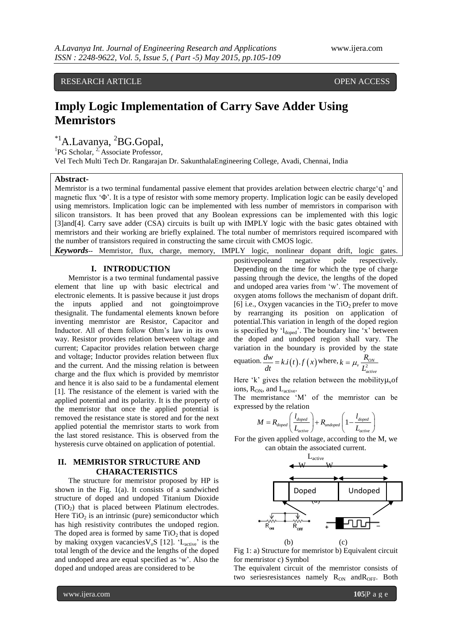RESEARCH ARTICLE **CONSERVERS** OPEN ACCESS

# **Imply Logic Implementation of Carry Save Adder Using Memristors**

\*1A.Lavanya, <sup>2</sup>BG.Gopal,

<sup>1</sup>PG Scholar, <sup>2,</sup> Associate Professor,

Vel Tech Multi Tech Dr. Rangarajan Dr. SakunthalaEngineering College, Avadi, Chennai, India

# **Abstract-**

Memristor is a two terminal fundamental passive element that provides arelation between electric charge'q' and magnetic flux "Φ". It is a type of resistor with some memory property. Implication logic can be easily developed using memristors. Implication logic can be implemented with less number of memristors in comparison with silicon transistors. It has been proved that any Boolean expressions can be implemented with this logic [3]and[4]. Carry save adder (CSA) circuits is built up with IMPLY logic with the basic gates obtained with memristors and their working are briefly explained. The total number of memristors required iscompared with the number of transistors required in constructing the same circuit with CMOS logic.

*Keywords--* Memristor, flux, charge, memory, IMPLY logic, nonlinear dopant drift, logic gates.

## **I. INTRODUCTION**

Memristor is a two terminal fundamental passive element that line up with basic electrical and electronic elements. It is passive because it just drops the inputs applied and not goingtoimprove thesignalit. The fundamental elements known before inventing memristor are Resistor, Capacitor and Inductor. All of them follow Ohm"s law in its own way. Resistor provides relation between voltage and current; Capacitor provides relation between charge and voltage; Inductor provides relation between flux and the current. And the missing relation is between charge and the flux which is provided by memristor and hence it is also said to be a fundamental element [1]. The resistance of the element is varied with the applied potential and its polarity. It is the property of the memristor that once the applied potential is removed the resistance state is stored and for the next applied potential the memristor starts to work from the last stored resistance. This is observed from the hysteresis curve obtained on application of potential.

# **II. MEMRISTOR STRUCTURE AND CHARACTERISTICS**

The structure for memristor proposed by HP is shown in the Fig. 1(a). It consists of a sandwiched structure of doped and undoped Titanium Dioxide  $(TiO<sub>2</sub>)$  that is placed between Platinum electrodes. Here  $TiO<sub>2</sub>$  is an intrinsic (pure) semiconductor which has high resistivity contributes the undoped region. The doped area is formed by same  $TiO<sub>2</sub>$  that is doped by making oxygen vacancies  $V_oS$  [12]. 'L<sub>active</sub>' is the total length of the device and the lengths of the doped and undoped area are equal specified as "w". Also the doped and undoped areas are considered to be

positivepoleand negative pole respectively. Depending on the time for which the type of charge passing through the device, the lengths of the doped and undoped area varies from "w". The movement of oxygen atoms follows the mechanism of dopant drift. [6] i.e., Oxygen vacancies in the  $TiO<sub>2</sub>$  prefer to move by rearranging its position on application of potential.This variation in length of the doped region is specified by  $l_{doped}$ . The boundary line 'x' between the doped and undoped region shall vary. The variation in the boundary is provided by the state

equation. 
$$
\frac{dw}{dt} = k \cdot i(t) \cdot f(x)
$$
 where,  $k = \mu_v \frac{R_{\text{ON}}}{L_{\text{active}}^2}$ 

Here 'k' gives the relation between the mobility  $\mu_{\nu}$  of ions, R<sub>ON</sub>, and L<sub>active</sub>.

The memristance 'M' of the memristor can be expressed by the relation

ed by the relation  
\n
$$
M = R_{\text{doped}} \left( \frac{l_{\text{doped}}}{L_{\text{active}}} \right) + R_{\text{undoped}} \left( 1 - \frac{l_{\text{doped}}}{L_{\text{active}}} \right)
$$

For the given applied voltage, according to the M, we can obtain the associated current.



Fig 1: a) Structure for memristor b) Equivalent circuit for memristor c) Symbol

The equivalent circuit of the memristor consists of two seriesresistances namely  $R_{ON}$  and  $R_{OFF}$ . Both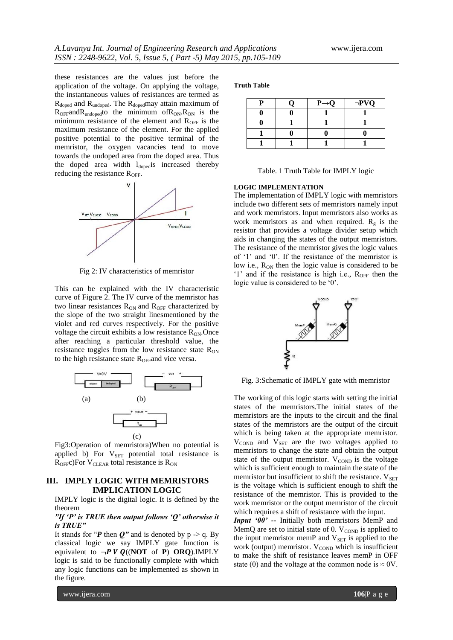these resistances are the values just before the application of the voltage. On applying the voltage, the instantaneous values of resistances are termed as  $R_{doped}$  and  $R_{undoped}$ . The  $R_{doped}$  may attain maximum of  $R_{OFF}$ and $R_{undoped}$ to the minimum of $R_{ON}$ . $R_{ON}$  is the minimum resistance of the element and  $R_{\text{OFF}}$  is the maximum resistance of the element. For the applied positive potential to the positive terminal of the memristor, the oxygen vacancies tend to move towards the undoped area from the doped area. Thus the doped area width  $l_{\text{doped}}$  increased thereby reducing the resistance  $R_{\text{OFF}}$ .



Fig 2: IV characteristics of memristor

This can be explained with the IV characteristic curve of Figure 2. The IV curve of the memristor has two linear resistances  $R_{ON}$  and  $R_{OFF}$  characterized by the slope of the two straight linesmentioned by the violet and red curves respectively. For the positive voltage the circuit exhibits a low resistance  $R_{ON}$ . Once after reaching a particular threshold value, the resistance toggles from the low resistance state  $R_{ON}$ to the high resistance state  $R_{\text{OFF}}$ and vice versa.



Fig3:Operation of memristora)When no potential is applied b) For  $V_{\text{SET}}$  potential total resistance is  $R_{OFF}c$ )For V<sub>CLEAR</sub> total resistance is  $R_{ON}$ 

# **III. IMPLY LOGIC WITH MEMRISTORS IMPLICATION LOGIC**

IMPLY logic is the digital logic. It is defined by the theorem

## *"If 'P' is TRUE then output follows 'Q' otherwise it is TRUE"*

It stands for " $P$  then  $Q$ " and is denoted by  $p \rightarrow q$ . By classical logic we say IMPLY gate function is equivalent to  $\neg P V Q((NOT \text{ of } P) ORQ).IMPLY$ logic is said to be functionally complete with which any logic functions can be implemented as shown in the figure.

**Truth Table**

| n | $P\rightarrow Q$ | $\neg PVQ$ |
|---|------------------|------------|
|   |                  |            |
|   |                  |            |
|   |                  |            |
|   |                  |            |

Table. 1 Truth Table for IMPLY logic

#### **LOGIC IMPLEMENTATION**

The implementation of IMPLY logic with memristors include two different sets of memristors namely input and work memristors. Input memristors also works as work memristors as and when required.  $R_g$  is the resistor that provides a voltage divider setup which aids in changing the states of the output memristors. The resistance of the memristor gives the logic values of '1' and '0'. If the resistance of the memristor is low i.e.,  $R_{ON}$  then the logic value is considered to be "1" and if the resistance is high i.e.,  $R_{OFF}$  then the logic value is considered to be '0'.



Fig. 3:Schematic of IMPLY gate with memristor

The working of this logic starts with setting the initial states of the memristors.The initial states of the memristors are the inputs to the circuit and the final states of the memristors are the output of the circuit which is being taken at the appropriate memristor.  $V_{\text{COND}}$  and  $V_{\text{SET}}$  are the two voltages applied to memristors to change the state and obtain the output state of the output memristor.  $V_{\text{COMP}}$  is the voltage which is sufficient enough to maintain the state of the memristor but insufficient to shift the resistance.  $V_{\text{SET}}$ is the voltage which is sufficient enough to shift the resistance of the memristor. This is provided to the work memristor or the output memristor of the circuit which requires a shift of resistance with the input.

*Input '00' --* Initially both memristors MemP and MemQ are set to initial state of  $0. V_{\text{COND}}$  is applied to the input memristor memP and  $V<sub>SET</sub>$  is applied to the work (output) memristor.  $V_{\rm{COND}}$  which is insufficient to make the shift of resistance leaves memP in OFF state (0) and the voltage at the common node is  $\approx$  0V.

www.ijera.com **106**|P a g e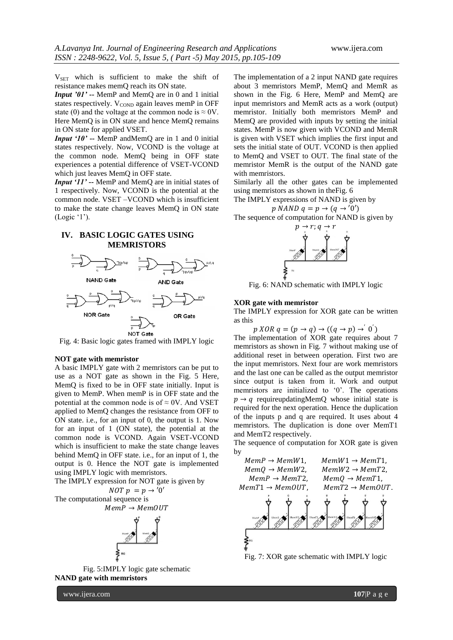V<sub>SET</sub> which is sufficient to make the shift of resistance makes memQ reach its ON state.

*Input '01' --* MemP and MemQ are in 0 and 1 initial states respectively.  $V_{\text{COND}}$  again leaves memP in OFF state (0) and the voltage at the common node is  $\approx$  0V. Here MemQ is in ON state and hence MemQ remains in ON state for applied VSET.

*Input '10' --* MemP andMemQ are in 1 and 0 initial states respectively. Now, VCOND is the voltage at the common node. MemQ being in OFF state experiences a potential difference of VSET-VCOND which just leaves MemQ in OFF state.

*Input '11' --* MemP and MemQ are in initial states of 1 respectively. Now, VCOND is the potential at the common node. VSET –VCOND which is insufficient to make the state change leaves MemQ in ON state  $(Logic '1').$ 

# **IV. BASIC LOGIC GATES USING MEMRISTORS**



Fig. 4: Basic logic gates framed with IMPLY logic

#### **NOT gate with memristor**

A basic IMPLY gate with 2 memristors can be put to use as a NOT gate as shown in the Fig. 5 Here, MemQ is fixed to be in OFF state initially. Input is given to MemP. When memP is in OFF state and the potential at the common node is of  $\approx$  0V. And VSET applied to MemQ changes the resistance from OFF to ON state. i.e., for an input of 0, the output is 1. Now for an input of 1 (ON state), the potential at the common node is VCOND. Again VSET-VCOND which is insufficient to make the state change leaves behind MemQ in OFF state. i.e., for an input of 1, the output is 0. Hence the NOT gate is implemented using IMPLY logic with memristors.

The IMPLY expression for NOT gate is given by  $NOT p = p \rightarrow '0'$ The computational sequence is  $MemP \rightarrow MemOUT$ 



Fig. 5:IMPLY logic gate schematic **NAND gate with memristors**

The implementation of a 2 input NAND gate requires about 3 memristors MemP, MemQ and MemR as shown in the Fig. 6 Here, MemP and MemQ are input memristors and MemR acts as a work (output) memristor. Initially both memristors MemP and MemQ are provided with inputs by setting the initial states. MemP is now given with VCOND and MemR is given with VSET which implies the first input and sets the initial state of OUT. VCOND is then applied to MemQ and VSET to OUT. The final state of the memristor MemR is the output of the NAND gate with memristors.

Similarly all the other gates can be implemented using memristors as shown in theFig. 6

The IMPLY expressions of NAND is given by  $p$  NAND  $q = p \rightarrow (q \rightarrow '0')$ 

The sequence of computation for NAND is given by



Fig. 6: NAND schematic with IMPLY logic

## **XOR gate with memristor**

The IMPLY expression for XOR gate can be written as this

 $p XOR q = (p \rightarrow q) \rightarrow ((q \rightarrow p) \rightarrow' 0')$ The implementation of XOR gate requires about 7 memristors as shown in Fig. 7 without making use of additional reset in between operation. First two are the input memristors. Next four are work memristors and the last one can be called as the output memristor since output is taken from it. Work and output memristors are initialized to '0'. The operations  $p \rightarrow q$  requireupdatingMemQ whose initial state is required for the next operation. Hence the duplication of the inputs p and q are required. It uses about 4 memristors. The duplication is done over MemT1 and MemT2 respectively.

The sequence of computation for XOR gate is given by



Fig. 7: XOR gate schematic with IMPLY logic

www.ijera.com **107**|P a g e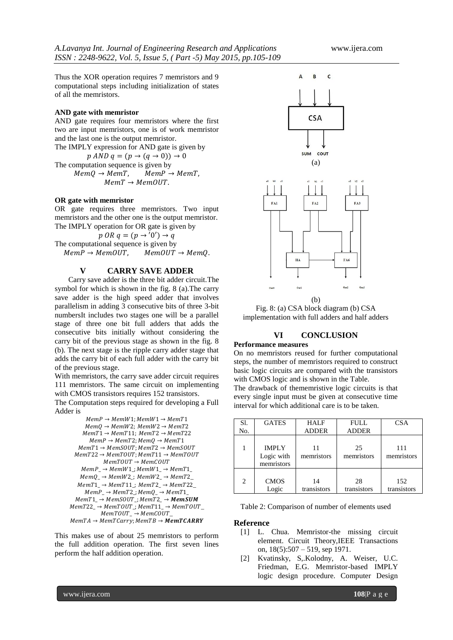Thus the XOR operation requires 7 memristors and 9 computational steps including initialization of states of all the memristors.

### **AND gate with memristor**

AND gate requires four memristors where the first two are input memristors, one is of work memristor and the last one is the output memristor.

The IMPLY expression for AND gate is given by  $p \text{ AND } q = (p \rightarrow (q \rightarrow 0)) \rightarrow 0$ The computation sequence is given by<br> $MemQ \rightarrow MemT$ ,  $MemP \rightarrow MemT$ ,  $MemQ \rightarrow MemT,$  $MemT \rightarrow MemOUT$ .

### **OR gate with memristor**

OR gate requires three memristors. Two input memristors and the other one is the output memristor. The IMPLY operation for OR gate is given by

 $p$  OR  $q = (p \rightarrow '0') \rightarrow q$ The computational sequence is given by  $MemP \rightarrow MemOUT$ ,  $MemOUT \rightarrow MemQ$ .

## **V CARRY SAVE ADDER**

Carry save adder is the three bit adder circuit.The symbol for which is shown in the fig. 8 (a).The carry save adder is the high speed adder that involves parallelism in adding 3 consecutive bits of three 3-bit numbersIt includes two stages one will be a parallel stage of three one bit full adders that adds the consecutive bits initially without considering the carry bit of the previous stage as shown in the fig. 8 (b). The next stage is the ripple carry adder stage that adds the carry bit of each full adder with the carry bit of the previous stage.

With memristors, the carry save adder circuit requires 111 memristors. The same circuit on implementing with CMOS transistors requires 152 transistors.

The Computation steps required for developing a Full Adder is

```
MemP \rightarrow MemW1; MemW1 \rightarrow MemT1MemQ \rightarrow MemW2; MemW2 \rightarrow MemT2MemT1 \rightarrow MemT11; MemT2 \rightarrow MemT22MemP \rightarrow MemT2; MemQ \rightarrow MemT1MemT1 \rightarrow MemSOUT; MemT2 \rightarrow MemSOUTMemT22 \rightarrow MemTOUT; MemT11 \rightarrow MemTOUTMemory \rightarrow MemoryMemP_ \rightarrow MemW1 \rightarrow MemW1<sub>-</sub>\rightarrow MemT1MemQ_ → MemW2; MemW2_ → MemT2_MemT1_ \rightarrow MemT11_; MemT2_ \rightarrow MemT22_MemP_ → MemT2; MemQ_ → MemT1MemT1 \rightarrow MemSOUT \rightarrow MemT2 \rightarrow MemSUMMemT22 \rightarrow MemTOUT \rightarrow MemT11 \rightarrow MemTOUTMemory_ \rightarrow Memory_MemTA \rightarrow MemTCarry; MemTB \rightarrow MemTCARRY
```
This makes use of about 25 memristors to perform the full addition operation. The first seven lines perform the half addition operation.



Fig. 8: (a) CSA block diagram (b) CSA implementation with full adders and half adders

# **VI CONCLUSION**

#### **Performance measures**

On no memristors reused for further computational steps, the number of memristors required to construct basic logic circuits are compared with the transistors with CMOS logic and is shown in the Table.

The drawback of thememristive logic circuits is that every single input must be given at consecutive time interval for which additional care is to be taken.

| Sl.<br>No.     | <b>GATES</b>                             | <b>HALF</b><br><b>ADDER</b> | <b>FULL</b><br><b>ADDER</b> | <b>CSA</b>         |
|----------------|------------------------------------------|-----------------------------|-----------------------------|--------------------|
|                | <b>IMPLY</b><br>Logic with<br>memristors | 11<br>memristors            | 25<br>memristors            | 111<br>memristors  |
| $\mathfrak{D}$ | <b>CMOS</b><br>Logic                     | 14<br>transistors           | 28<br>transistors           | 152<br>transistors |

Table 2: Comparison of number of elements used

## **Reference**

- [1] L. Chua. Memristor-the missing circuit element. Circuit Theory,IEEE Transactions on, 18(5):507 – 519, sep 1971.
- [2] Kvatinsky, S,.Kolodny, A. Weiser, U.C. Friedman, E.G. Memristor-based IMPLY logic design procedure. Computer Design